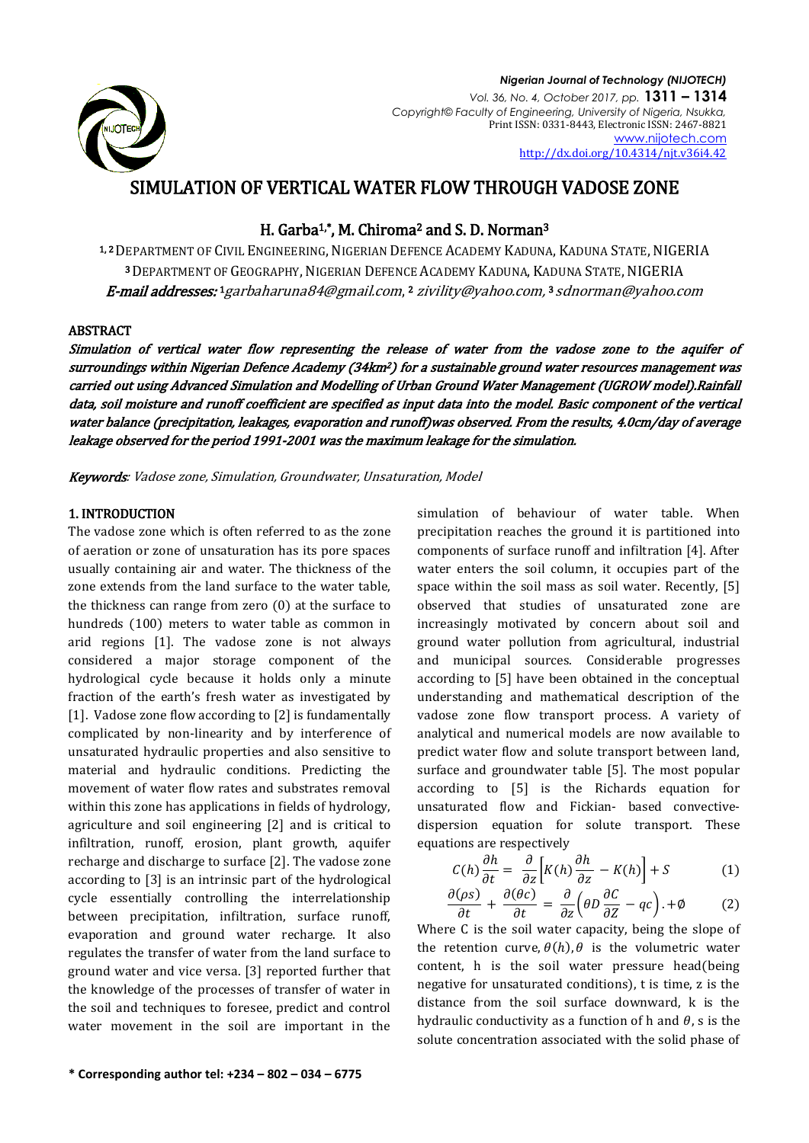

# SIMULATION OF VERTICAL WATER FLOW THROUGH VADOSE ZONE

H. Garba<sup>1,\*</sup>, M. Chiroma<sup>2</sup> and S. D. Norman<sup>3</sup>

1, 2DEPARTMENT OF CIVIL ENGINEERING, NIGERIAN DEFENCE ACADEMY KADUNA, KADUNA STATE, NIGERIA <sup>3</sup>DEPARTMENT OF GEOGRAPHY, NIGERIAN DEFENCE ACADEMY KADUNA, KADUNA STATE, NIGERIA E-mail addresses: 1 [garbaharuna84@gmail.com](mailto:1garbaharuna84@gmail.com), 2 [zivility@yahoo.com,](mailto:zivility@yahoo.com) 3 [sdnorman@yahoo.com](mailto:sdnorman@yahoo.com)

### ABSTRACT

Simulation of vertical water flow representing the release of water from the vadose zone to the aquifer of surroundings within Nigerian Defence Academy (34km<sup>2</sup>) for a sustainable ground water resources management was carried out using Advanced Simulation and Modelling of Urban Ground Water Management (UGROW model).Rainfall data, soil moisture and runoff coefficient are specified as input data into the model. Basic component of the vertical water balance (precipitation, leakages, evaporation and runoff)was observed. From the results, 4.0cm/day of average leakage observed for the period 1991-2001 was the maximum leakage for the simulation.

Keywords: Vadose zone, Simulation, Groundwater, Unsaturation, Model

# 1. INTRODUCTION

The vadose zone which is often referred to as the zone of aeration or zone of unsaturation has its pore spaces usually containing air and water. The thickness of the zone extends from the land surface to the water table, the thickness can range from zero (0) at the surface to hundreds (100) meters to water table as common in arid regions [1]. The vadose zone is not always considered a major storage component of the hydrological cycle because it holds only a minute fraction of the earth's fresh water as investigated by [1]. Vadose zone flow according to [2] is fundamentally complicated by non-linearity and by interference of unsaturated hydraulic properties and also sensitive to material and hydraulic conditions. Predicting the movement of water flow rates and substrates removal within this zone has applications in fields of hydrology, agriculture and soil engineering [2] and is critical to infiltration, runoff, erosion, plant growth, aquifer recharge and discharge to surface [2]. The vadose zone according to [3] is an intrinsic part of the hydrological cycle essentially controlling the interrelationship between precipitation, infiltration, surface runoff, evaporation and ground water recharge. It also regulates the transfer of water from the land surface to ground water and vice versa. [3] reported further that the knowledge of the processes of transfer of water in the soil and techniques to foresee, predict and control water movement in the soil are important in the

and municipal sources. Considerable progresses according to [5] have been obtained in the conceptual understanding and mathematical description of the vadose zone flow transport process. A variety of analytical and numerical models are now available to predict water flow and solute transport between land, surface and groundwater table [5]. The most popular according to [5] is the Richards equation for unsaturated flow and Fickian- based convectivedispersion equation for solute transport. These equations are respectively  $C(h) \frac{\partial}{\partial h}$  $\partial$  $\frac{\partial}{\partial z}\left[K(h)\frac{\partial h}{\partial z} - K(h)\right] + S$  (1)  $\partial(\rho s)$  $\partial$  $\partial(\theta c)$  $\partial$  $\frac{\partial}{\partial z}\left(\theta D \frac{\partial C}{\partial z} - qc\right) + \emptyset$  (2) Where C is the soil water capacity, being the slope of

the retention curve,  $\theta$ (h),  $\theta$  is the volumetric water content, h is the soil water pressure head(being negative for unsaturated conditions), t is time, z is the distance from the soil surface downward, k is the hydraulic conductivity as a function of h and  $\theta$ , s is the solute concentration associated with the solid phase of

simulation of behaviour of water table. When precipitation reaches the ground it is partitioned into components of surface runoff and infiltration [4]. After water enters the soil column, it occupies part of the space within the soil mass as soil water. Recently, [5] observed that studies of unsaturated zone are increasingly motivated by concern about soil and ground water pollution from agricultural, industrial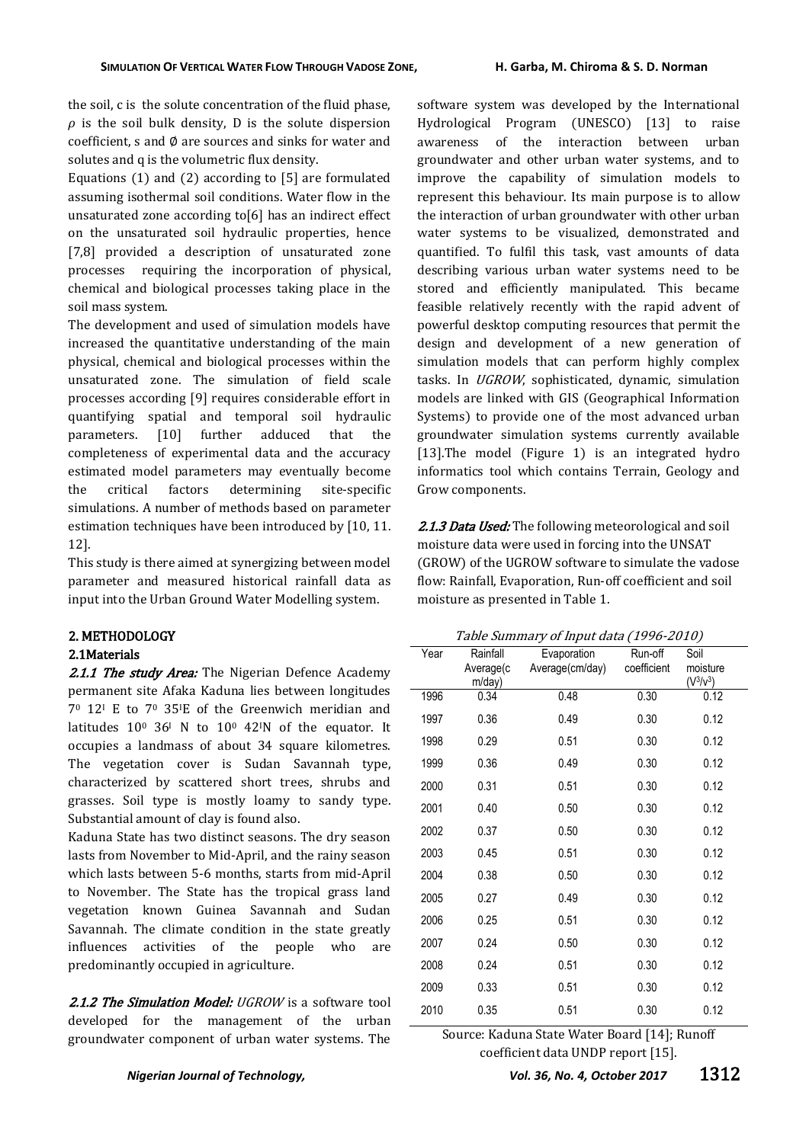the soil, c is the solute concentration of the fluid phase,  $\rho$  is the soil bulk density, D is the solute dispersion coefficient, s and  $\emptyset$  are sources and sinks for water and solutes and q is the volumetric flux density.

Equations (1) and (2) according to [5] are formulated assuming isothermal soil conditions. Water flow in the unsaturated zone according to[6] has an indirect effect on the unsaturated soil hydraulic properties, hence [7,8] provided a description of unsaturated zone processes requiring the incorporation of physical, chemical and biological processes taking place in the soil mass system.

The development and used of simulation models have increased the quantitative understanding of the main physical, chemical and biological processes within the unsaturated zone. The simulation of field scale processes according [9] requires considerable effort in quantifying spatial and temporal soil hydraulic parameters. [10] further adduced that the completeness of experimental data and the accuracy estimated model parameters may eventually become the critical factors determining site-specific simulations. A number of methods based on parameter estimation techniques have been introduced by [10, 11. 12].

This study is there aimed at synergizing between model parameter and measured historical rainfall data as input into the Urban Ground Water Modelling system.

# 2. METHODOLOGY

# 2.1Materials

2.1.1 The study Area: The Nigerian Defence Academy permanent site Afaka Kaduna lies between longitudes 7<sup>0</sup> 12<sup>I</sup> E to 7<sup>0</sup> 35IE of the Greenwich meridian and latitudes  $10^0$  36<sup>I</sup> N to  $10^0$  42<sup>I</sup>N of the equator. It occupies a landmass of about 34 square kilometres. The vegetation cover is Sudan Savannah type, characterized by scattered short trees, shrubs and grasses. Soil type is mostly loamy to sandy type. Substantial amount of clay is found also.

Kaduna State has two distinct seasons. The dry season lasts from November to Mid-April, and the rainy season which lasts between 5-6 months, starts from mid-April to November. The State has the tropical grass land vegetation known Guinea Savannah and Sudan Savannah. The climate condition in the state greatly influences activities of the people who are predominantly occupied in agriculture.

2.1.2 The Simulation Model: UGROW is a software tool developed for the management of the urban groundwater component of urban water systems. The

software system was developed by the International Hydrological Program (UNESCO) [13] to raise awareness of the interaction between urban groundwater and other urban water systems, and to improve the capability of simulation models to represent this behaviour. Its main purpose is to allow the interaction of urban groundwater with other urban water systems to be visualized, demonstrated and quantified. To fulfil this task, vast amounts of data describing various urban water systems need to be stored and efficiently manipulated. This became feasible relatively recently with the rapid advent of powerful desktop computing resources that permit the design and development of a new generation of simulation models that can perform highly complex tasks. In UGROW, sophisticated, dynamic, simulation models are linked with GIS (Geographical Information Systems) to provide one of the most advanced urban groundwater simulation systems currently available [13].The model (Figure 1) is an integrated hydro informatics tool which contains Terrain, Geology and Grow components.

2.1.3 Data Used: The following meteorological and soil moisture data were used in forcing into the UNSAT (GROW) of the UGROW software to simulate the vadose flow: Rainfall, Evaporation, Run-off coefficient and soil moisture as presented in Table 1.

Table Summary of Input data (1996-2010)

| Year | Rainfall<br>Average(c<br>m/day) | Evaporation<br>Average(cm/day) | Run-off<br>coefficient | Soil<br>moisture<br>$(V^3/V^3)$ |
|------|---------------------------------|--------------------------------|------------------------|---------------------------------|
| 1996 | 0.34                            | 0.48                           | 0.30                   | 0.12                            |
| 1997 | 0.36                            | 0.49                           | 0.30                   | 0.12                            |
| 1998 | 0.29                            | 0.51                           | 0.30                   | 0.12                            |
| 1999 | 0.36                            | 0.49                           | 0.30                   | 0.12                            |
| 2000 | 0.31                            | 0.51                           | 0.30                   | 0.12                            |
| 2001 | 0.40                            | 0.50                           | 0.30                   | 0.12                            |
| 2002 | 0.37                            | 0.50                           | 0.30                   | 0.12                            |
| 2003 | 0.45                            | 0.51                           | 0.30                   | 0.12                            |
| 2004 | 0.38                            | 0.50                           | 0.30                   | 0.12                            |
| 2005 | 0.27                            | 0.49                           | 0.30                   | 0.12                            |
| 2006 | 0.25                            | 0.51                           | 0.30                   | 0.12                            |
| 2007 | 0.24                            | 0.50                           | 0.30                   | 0.12                            |
| 2008 | 0.24                            | 0.51                           | 0.30                   | 0.12                            |
| 2009 | 0.33                            | 0.51                           | 0.30                   | 0.12                            |
| 2010 | 0.35                            | 0.51                           | 0.30                   | 0.12                            |
|      |                                 |                                |                        |                                 |

Source: Kaduna State Water Board [14]; Runoff coefficient data UNDP report [15].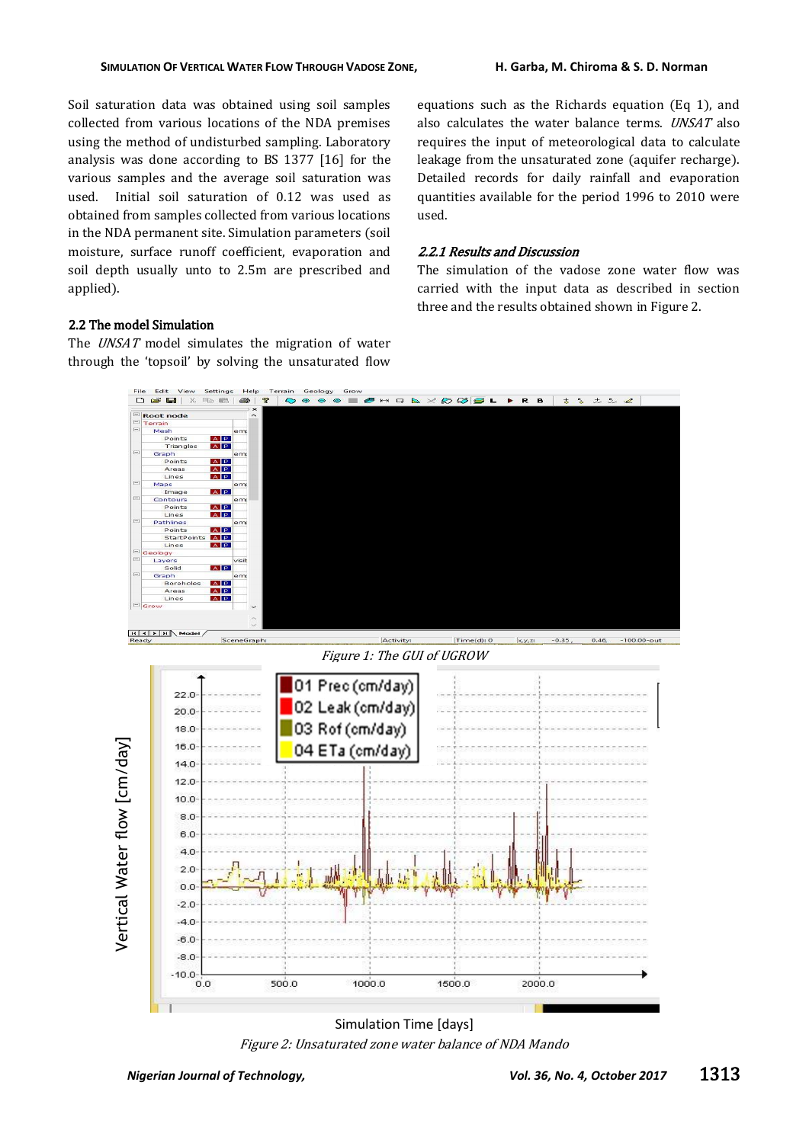Soil saturation data was obtained using soil samples collected from various locations of the NDA premises using the method of undisturbed sampling. Laboratory analysis was done according to BS 1377 [16] for the various samples and the average soil saturation was used. Initial soil saturation of 0.12 was used as obtained from samples collected from various locations in the NDA permanent site. Simulation parameters (soil moisture, surface runoff coefficient, evaporation and soil depth usually unto to 2.5m are prescribed and applied).

equations such as the Richards equation (Eq 1), and also calculates the water balance terms. UNSAT also requires the input of meteorological data to calculate leakage from the unsaturated zone (aquifer recharge). Detailed records for daily rainfall and evaporation quantities available for the period 1996 to 2010 were used.

#### 2.2.1 Results and Discussion

The simulation of the vadose zone water flow was carried with the input data as described in section three and the results obtained shown in Figure 2.

# 2.2 The model Simulation

The *UNSAT* model simulates the migration of water through the 'topsoil' by solving the unsaturated flow



Figure 2: Unsaturated zone water balance of NDA Mando